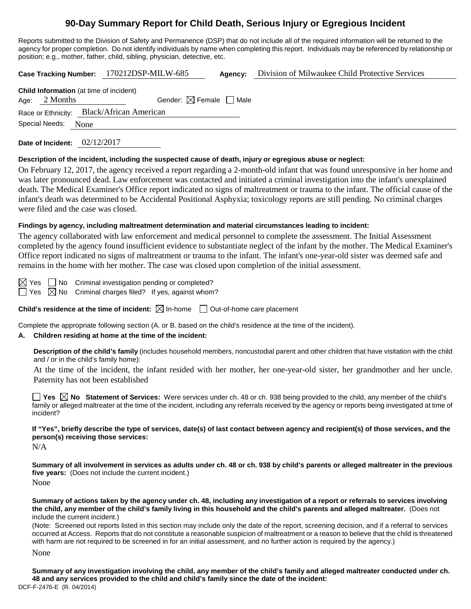# **90-Day Summary Report for Child Death, Serious Injury or Egregious Incident**

Reports submitted to the Division of Safety and Permanence (DSP) that do not include all of the required information will be returned to the agency for proper completion. Do not identify individuals by name when completing this report. Individuals may be referenced by relationship or position; e.g., mother, father, child, sibling, physician, detective, etc.

|                                                                   |      | Case Tracking Number: 170212DSP-MILW-685  | Agency:                           | Division of Milwaukee Child Protective Services |
|-------------------------------------------------------------------|------|-------------------------------------------|-----------------------------------|-------------------------------------------------|
| <b>Child Information</b> (at time of incident)<br>Age: $2$ Months |      |                                           | Gender: $\boxtimes$ Female   Male |                                                 |
| Special Needs:                                                    | None | Race or Ethnicity: Black/African American |                                   |                                                 |
|                                                                   |      |                                           |                                   |                                                 |

**Date of Incident:** 02/12/2017

### **Description of the incident, including the suspected cause of death, injury or egregious abuse or neglect:**

On February 12, 2017, the agency received a report regarding a 2-month-old infant that was found unresponsive in her home and was later pronounced dead. Law enforcement was contacted and initiated a criminal investigation into the infant's unexplained death. The Medical Examiner's Office report indicated no signs of maltreatment or trauma to the infant. The official cause of the infant's death was determined to be Accidental Positional Asphyxia; toxicology reports are still pending. No criminal charges were filed and the case was closed.

#### **Findings by agency, including maltreatment determination and material circumstances leading to incident:**

The agency collaborated with law enforcement and medical personnel to complete the assessment. The Initial Assessment completed by the agency found insufficient evidence to substantiate neglect of the infant by the mother. The Medical Examiner's Office report indicated no signs of maltreatment or trauma to the infant. The infant's one-year-old sister was deemed safe and remains in the home with her mother. The case was closed upon completion of the initial assessment.

 $\boxtimes$  Yes  $\Box$  No Criminal investigation pending or completed?

 $\Box$  Yes  $\boxtimes$  No Criminal charges filed? If yes, against whom?

**Child's residence at the time of incident:**  $\boxtimes$  In-home  $\Box$  Out-of-home care placement

Complete the appropriate following section (A. or B. based on the child's residence at the time of the incident).

### **A. Children residing at home at the time of the incident:**

**Description of the child's family** (includes household members, noncustodial parent and other children that have visitation with the child and / or in the child's family home):

At the time of the incident, the infant resided with her mother, her one-year-old sister, her grandmother and her uncle. Paternity has not been established

■ Yes **No** Statement of Services: Were services under ch. 48 or ch. 938 being provided to the child, any member of the child's family or alleged maltreater at the time of the incident, including any referrals received by the agency or reports being investigated at time of incident?

**If "Yes", briefly describe the type of services, date(s) of last contact between agency and recipient(s) of those services, and the person(s) receiving those services:**

 $N/A$ 

**Summary of all involvement in services as adults under ch. 48 or ch. 938 by child's parents or alleged maltreater in the previous five years:** (Does not include the current incident.) None

**Summary of actions taken by the agency under ch. 48, including any investigation of a report or referrals to services involving the child, any member of the child's family living in this household and the child's parents and alleged maltreater.** (Does not include the current incident.)

(Note: Screened out reports listed in this section may include only the date of the report, screening decision, and if a referral to services occurred at Access. Reports that do not constitute a reasonable suspicion of maltreatment or a reason to believe that the child is threatened with harm are not required to be screened in for an initial assessment, and no further action is required by the agency.)

None

DCF-F-2476-E (R. 04/2014) **Summary of any investigation involving the child, any member of the child's family and alleged maltreater conducted under ch. 48 and any services provided to the child and child's family since the date of the incident:**